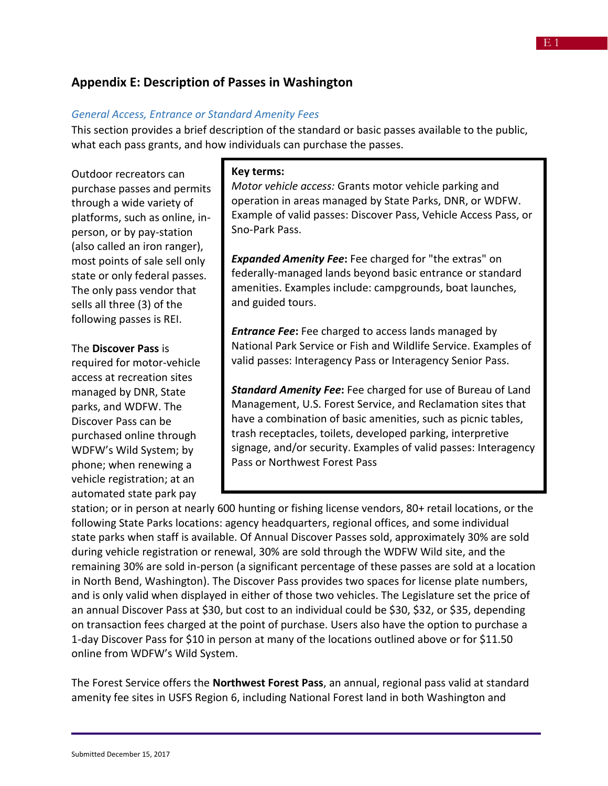# **Appendix E: Description of Passes in Washington**

#### *General Access, Entrance or Standard Amenity Fees*

This section provides a brief description of the standard or basic passes available to the public, what each pass grants, and how individuals can purchase the passes.

Outdoor recreators can purchase passes and permits through a wide variety of platforms, such as online, inperson, or by pay-station (also called an iron ranger), most points of sale sell only state or only federal passes. The only pass vendor that sells all three (3) of the following passes is REI.

#### The **Discover Pass** is

required for motor-vehicle access at recreation sites managed by DNR, State parks, and WDFW. The Discover Pass can be purchased online through WDFW's Wild System; by phone; when renewing a vehicle registration; at an automated state park pay

#### **Key terms:**

*Motor vehicle access:* Grants motor vehicle parking and operation in areas managed by State Parks, DNR, or WDFW. Example of valid passes: Discover Pass, Vehicle Access Pass, or Sno-Park Pass.

*Expanded Amenity Fee***:** Fee charged for "the extras" on federally-managed lands beyond basic entrance or standard amenities. Examples include: campgrounds, boat launches, and guided tours.

*Entrance Fee***:** Fee charged to access lands managed by National Park Service or Fish and Wildlife Service. Examples of valid passes: Interagency Pass or Interagency Senior Pass.

*Standard Amenity Fee***:** Fee charged for use of Bureau of Land Management, U.S. Forest Service, and Reclamation sites that have a combination of basic amenities, such as picnic tables, trash receptacles, toilets, developed parking, interpretive signage, and/or security. Examples of valid passes: Interagency Pass or Northwest Forest Pass

station; or in person at nearly 600 hunting or fishing license vendors, 80+ retail locations, or the following State Parks locations: agency headquarters, regional offices, and some individual state parks when staff is available. Of Annual Discover Passes sold, approximately 30% are sold during vehicle registration or renewal, 30% are sold through the WDFW Wild site, and the remaining 30% are sold in-person (a significant percentage of these passes are sold at a location in North Bend, Washington). The Discover Pass provides two spaces for license plate numbers, and is only valid when displayed in either of those two vehicles. The Legislature set the price of an annual Discover Pass at \$30, but cost to an individual could be \$30, \$32, or \$35, depending on transaction fees charged at the point of purchase. Users also have the option to purchase a 1-day Discover Pass for \$10 in person at many of the locations outlined above or for \$11.50 online from WDFW's Wild System.

The Forest Service offers the **Northwest Forest Pass**, an annual, regional pass valid at standard amenity fee sites in USFS Region 6, including National Forest land in both Washington and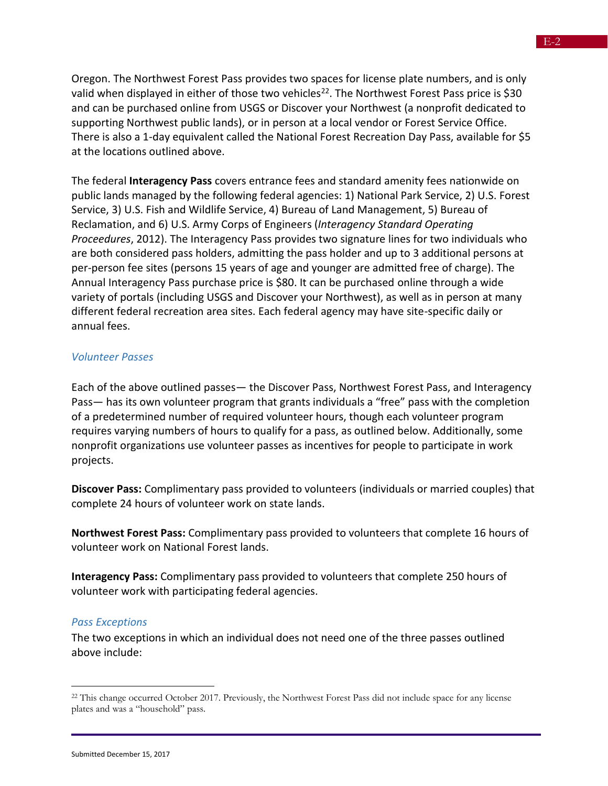Oregon. The Northwest Forest Pass provides two spaces for license plate numbers, and is only valid when displayed in either of those two vehicles<sup>22</sup>. The Northwest Forest Pass price is \$30 and can be purchased online from USGS or Discover your Northwest (a nonprofit dedicated to supporting Northwest public lands), or in person at a local vendor or Forest Service Office. There is also a 1-day equivalent called the National Forest Recreation Day Pass, available for \$5 at the locations outlined above.

The federal **Interagency Pass** covers entrance fees and standard amenity fees nationwide on public lands managed by the following federal agencies: 1) National Park Service, 2) U.S. Forest Service, 3) U.S. Fish and Wildlife Service, 4) Bureau of Land Management, 5) Bureau of Reclamation, and 6) U.S. Army Corps of Engineers (*Interagency Standard Operating Proceedures*, 2012). The Interagency Pass provides two signature lines for two individuals who are both considered pass holders, admitting the pass holder and up to 3 additional persons at per-person fee sites (persons 15 years of age and younger are admitted free of charge). The Annual Interagency Pass purchase price is \$80. It can be purchased online through a wide variety of portals (including USGS and Discover your Northwest), as well as in person at many different federal recreation area sites. Each federal agency may have site-specific daily or annual fees.

### *Volunteer Passes*

Each of the above outlined passes— the Discover Pass, Northwest Forest Pass, and Interagency Pass— has its own volunteer program that grants individuals a "free" pass with the completion of a predetermined number of required volunteer hours, though each volunteer program requires varying numbers of hours to qualify for a pass, as outlined below. Additionally, some nonprofit organizations use volunteer passes as incentives for people to participate in work projects.

**Discover Pass:** Complimentary pass provided to volunteers (individuals or married couples) that complete 24 hours of volunteer work on state lands.

**Northwest Forest Pass:** Complimentary pass provided to volunteers that complete 16 hours of volunteer work on National Forest lands.

**Interagency Pass:** Complimentary pass provided to volunteers that complete 250 hours of volunteer work with participating federal agencies.

#### *Pass Exceptions*

The two exceptions in which an individual does not need one of the three passes outlined above include:

<sup>&</sup>lt;sup>22</sup> This change occurred October 2017. Previously, the Northwest Forest Pass did not include space for any license plates and was a "household" pass.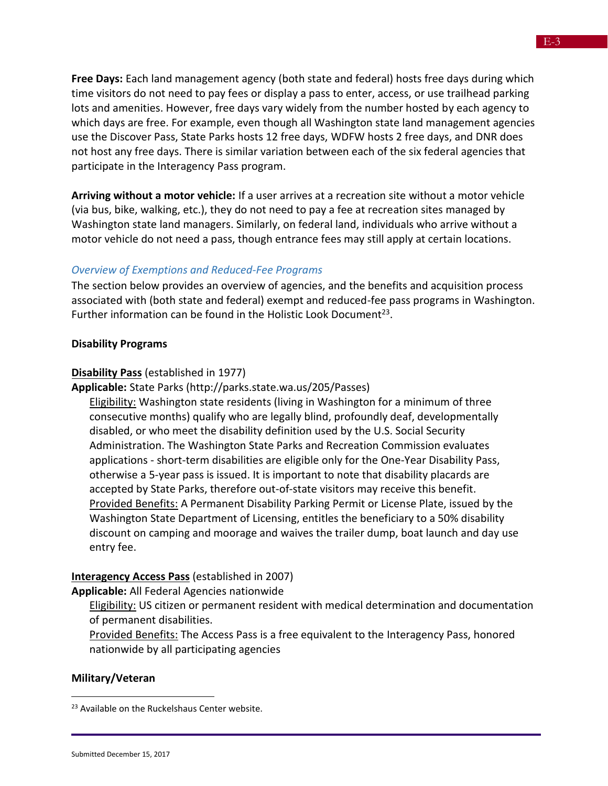**Free Days:** Each land management agency (both state and federal) hosts free days during which time visitors do not need to pay fees or display a pass to enter, access, or use trailhead parking lots and amenities. However, free days vary widely from the number hosted by each agency to which days are free. For example, even though all Washington state land management agencies use the Discover Pass, State Parks hosts 12 free days, WDFW hosts 2 free days, and DNR does not host any free days. There is similar variation between each of the six federal agencies that participate in the Interagency Pass program.

**Arriving without a motor vehicle:** If a user arrives at a recreation site without a motor vehicle (via bus, bike, walking, etc.), they do not need to pay a fee at recreation sites managed by Washington state land managers. Similarly, on federal land, individuals who arrive without a motor vehicle do not need a pass, though entrance fees may still apply at certain locations.

### *Overview of Exemptions and Reduced-Fee Programs*

The section below provides an overview of agencies, and the benefits and acquisition process associated with (both state and federal) exempt and reduced-fee pass programs in Washington. Further information can be found in the Holistic Look Document<sup>23</sup>.

#### **Disability Programs**

#### **Disability Pass** (established in 1977)

**Applicable:** State Parks (http://parks.state.wa.us/205/Passes)

Eligibility: Washington state residents (living in Washington for a minimum of three consecutive months) qualify who are legally blind, profoundly deaf, developmentally disabled, or who meet the disability definition used by the U.S. Social Security Administration. The Washington State Parks and Recreation Commission evaluates applications - short-term disabilities are eligible only for the One-Year Disability Pass, otherwise a 5-year pass is issued. It is important to note that disability placards are accepted by State Parks, therefore out-of-state visitors may receive this benefit. Provided Benefits: A Permanent Disability Parking Permit or License Plate, issued by the Washington State Department of Licensing, entitles the beneficiary to a 50% disability discount on camping and moorage and waives the trailer dump, boat launch and day use entry fee.

#### **Interagency Access Pass** (established in 2007)

**Applicable:** All Federal Agencies nationwide

Eligibility: US citizen or permanent resident with medical determination and documentation of permanent disabilities.

Provided Benefits: The Access Pass is a free equivalent to the Interagency Pass, honored nationwide by all participating agencies

#### **Military/Veteran**

<sup>&</sup>lt;sup>23</sup> Available on the Ruckelshaus Center website.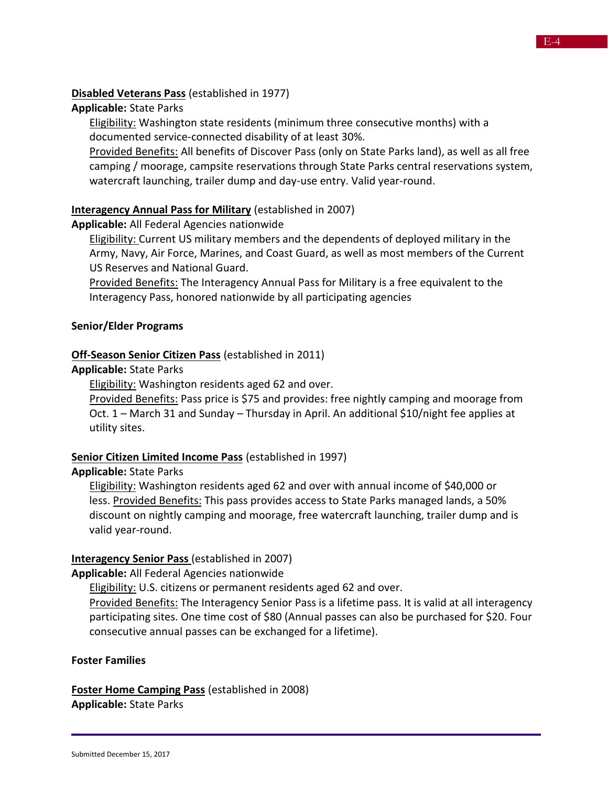### **Disabled Veterans Pass** (established in 1977)

### **Applicable:** State Parks

Eligibility: Washington state residents (minimum three consecutive months) with a documented service-connected disability of at least 30%.

Provided Benefits: All benefits of Discover Pass (only on State Parks land), as well as all free camping / moorage, campsite reservations through State Parks central reservations system, watercraft launching, trailer dump and day-use entry. Valid year-round.

## **Interagency Annual Pass for Military** (established in 2007)

## **Applicable:** All Federal Agencies nationwide

**Eligibility:** Current US military members and the dependents of deployed military in the Army, Navy, Air Force, Marines, and Coast Guard, as well as most members of the Current US Reserves and National Guard.

Provided Benefits: The Interagency Annual Pass for Military is a free equivalent to the Interagency Pass, honored nationwide by all participating agencies

## **Senior/Elder Programs**

## **Off-Season Senior Citizen Pass** (established in 2011)

### **Applicable:** State Parks

Eligibility: Washington residents aged 62 and over.

Provided Benefits: Pass price is \$75 and provides: free nightly camping and moorage from Oct. 1 – March 31 and Sunday – Thursday in April. An additional \$10/night fee applies at utility sites.

### **Senior Citizen Limited Income Pass** (established in 1997)

### **Applicable:** State Parks

Eligibility: Washington residents aged 62 and over with annual income of \$40,000 or less. Provided Benefits: This pass provides access to State Parks managed lands, a 50% discount on nightly camping and moorage, free watercraft launching, trailer dump and is valid year-round.

# **Interagency Senior Pass** (established in 2007)

**Applicable:** All Federal Agencies nationwide

**Eligibility: U.S. citizens or permanent residents aged 62 and over.** 

Provided Benefits: The Interagency Senior Pass is a lifetime pass. It is valid at all interagency participating sites. One time cost of \$80 (Annual passes can also be purchased for \$20. Four consecutive annual passes can be exchanged for a lifetime).

### **Foster Families**

**Foster Home Camping Pass** (established in 2008) **Applicable:** State Parks